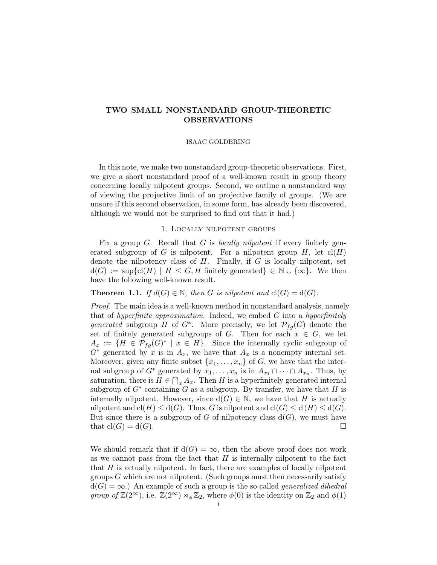# TWO SMALL NONSTANDARD GROUP-THEORETIC OBSERVATIONS

### ISAAC GOLDBRING

In this note, we make two nonstandard group-theoretic observations. First, we give a short nonstandard proof of a well-known result in group theory concerning locally nilpotent groups. Second, we outline a nonstandard way of viewing the projective limit of an projective family of groups. (We are unsure if this second observation, in some form, has already been discovered, although we would not be surprised to find out that it had.)

### 1. Locally nilpotent groups

Fix a group  $G$ . Recall that  $G$  is *locally nilpotent* if every finitely generated subgroup of G is nilpotent. For a nilpotent group  $H$ , let  $\text{cl}(H)$ denote the nilpotency class of  $H$ . Finally, if  $G$  is locally nilpotent, set  $d(G) := \sup \{ cl(H) \mid H \leq G, H \text{ finitely generated } \} \in \mathbb{N} \cup \{ \infty \}.$  We then have the following well-known result.

### **Theorem 1.1.** If  $d(G) \in \mathbb{N}$ , then G is nilpotent and  $cl(G) = cl(G)$ .

Proof. The main idea is a well-known method in nonstandard analysis, namely that of hyperfinite approximation. Indeed, we embed  $G$  into a hyperfinitely generated subgroup H of G<sup>\*</sup>. More precisely, we let  $\mathcal{P}_{fg}(G)$  denote the set of finitely generated subgroups of G. Then for each  $x \in G$ , we let  $A_x := \{H \in \mathcal{P}_{fg}(G)^* \mid x \in H\}.$  Since the internally cyclic subgroup of  $G^*$  generated by x is in  $A_x$ , we have that  $A_x$  is a nonempty internal set. Moreover, given any finite subset  $\{x_1, \ldots, x_n\}$  of G, we have that the internal subgroup of  $G^*$  generated by  $x_1, \ldots, x_n$  is in  $A_{x_1} \cap \cdots \cap A_{x_n}$ . Thus, by saturation, there is  $H \in \bigcap_x A_x$ . Then H is a hyperfinitely generated internal subgroup of  $G^*$  containing G as a subgroup. By transfer, we have that H is internally nilpotent. However, since  $d(G) \in \mathbb{N}$ , we have that H is actually nilpotent and  $cl(H) \leq d(G)$ . Thus, G is nilpotent and  $cl(G) \leq cl(H) \leq d(G)$ . But since there is a subgroup of G of nilpotency class  $d(G)$ , we must have that  $cl(G) = d(G)$ .

We should remark that if  $d(G) = \infty$ , then the above proof does not work as we cannot pass from the fact that  $H$  is internally nilpotent to the fact that  $H$  is actually nilpotent. In fact, there are examples of locally nilpotent groups  $G$  which are not nilpotent. (Such groups must then necessarily satisfy  $d(G) = \infty$ .) An example of such a group is the so-called *generalized dihedral* group of  $\mathbb{Z}(2^{\infty})$ , i.e.  $\mathbb{Z}(2^{\infty}) \rtimes_{\phi} \mathbb{Z}_2$ , where  $\phi(0)$  is the identity on  $\mathbb{Z}_2$  and  $\phi(1)$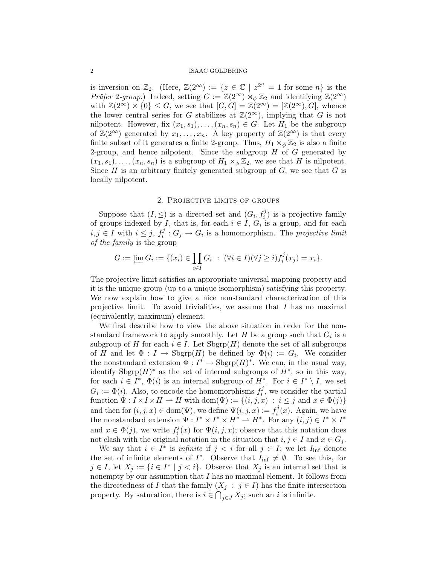### 2 ISAAC GOLDBRING

is inversion on  $\mathbb{Z}_2$ . (Here,  $\mathbb{Z}(2^{\infty}) := \{z \in \mathbb{C} \mid z^{2^n} = 1 \text{ for some } n\}$  is the *Prüfer 2-group.*) Indeed, setting  $G := \mathbb{Z}(2^{\infty}) \rtimes_{\phi} \mathbb{Z}_2$  and identifying  $\mathbb{Z}(2^{\infty})$ with  $\mathbb{Z}(2^{\infty}) \times \{0\} \leq G$ , we see that  $[G, G] = \mathbb{Z}(2^{\infty}) = [\mathbb{Z}(2^{\infty}), G]$ , whence the lower central series for G stabilizes at  $\mathbb{Z}(2^{\infty})$ , implying that G is not nilpotent. However, fix  $(x_1, s_1), \ldots, (x_n, s_n) \in G$ . Let  $H_1$  be the subgroup of  $\mathbb{Z}(2^{\infty})$  generated by  $x_1, \ldots, x_n$ . A key property of  $\mathbb{Z}(2^{\infty})$  is that every finite subset of it generates a finite 2-group. Thus,  $H_1 \rtimes_{\phi} \mathbb{Z}_2$  is also a finite 2-group, and hence nilpotent. Since the subgroup  $H$  of  $G$  generated by  $(x_1, s_1), \ldots, (x_n, s_n)$  is a subgroup of  $H_1 \rtimes_{\phi} \mathbb{Z}_2$ , we see that H is nilpotent. Since  $H$  is an arbitrary finitely generated subgroup of  $G$ , we see that  $G$  is locally nilpotent.

### 2. Projective limits of groups

Suppose that  $(I, \leq)$  is a directed set and  $(G_i, f_i^j)$  is a projective family of groups indexed by I, that is, for each  $i \in I$ ,  $G_i$  is a group, and for each  $i, j \in I$  with  $i \leq j, f_i^j$  $i_i^j: G_j \to G_i$  is a homomorphism. The projective limit of the family is the group

$$
G := \varprojlim G_i := \{ (x_i) \in \prod_{i \in I} G_i \; : \; (\forall i \in I)(\forall j \ge i) f_i^j(x_j) = x_i \}.
$$

The projective limit satisfies an appropriate universal mapping property and it is the unique group (up to a unique isomorphism) satisfying this property. We now explain how to give a nice nonstandard characterization of this projective limit. To avoid trivialities, we assume that  $I$  has no maximal (equivalently, maximum) element.

We first describe how to view the above situation in order for the nonstandard framework to apply smoothly. Let  $H$  be a group such that  $G_i$  is a subgroup of H for each  $i \in I$ . Let  $Sbgrp(H)$  denote the set of all subgroups of H and let  $\Phi: I \to \text{Sbgrp}(H)$  be defined by  $\Phi(i) := G_i$ . We consider the nonstandard extension  $\Phi: I^* \to \text{Sbgrp}(H)^*$ . We can, in the usual way, identify  $Sbgrp(H)^*$  as the set of internal subgroups of  $H^*$ , so in this way, for each  $i \in I^*, \Phi(i)$  is an internal subgroup of  $H^*$ . For  $i \in I^* \setminus I$ , we set  $G_i := \Phi(i)$ . Also, to encode the homomorphisms  $f_i^j$  $i<sup>j</sup>$ , we consider the partial function  $\Psi : I \times I \times H \to H$  with  $dom(\Psi) := \{(i, j, x) : i \leq j \text{ and } x \in \Phi(j)\}\$ and then for  $(i, j, x) \in \text{dom}(\Psi)$ , we define  $\Psi(i, j, x) := f_i^j$  $i<sup>j</sup>(x)$ . Again, we have the nonstandard extension  $\Psi: I^* \times I^* \times H^* \to H^*$ . For any  $(i, j) \in I^* \times I^*$ and  $x \in \Phi(j)$ , we write  $f_i^j$  $\mathcal{F}_i^j(x)$  for  $\Psi(i,j,x)$ ; observe that this notation does not clash with the original notation in the situation that  $i, j \in I$  and  $x \in G_j$ .

We say that  $i \in I^*$  is *infinite* if  $j < i$  for all  $j \in I$ ; we let  $I_{\text{inf}}$  denote the set of infinite elements of  $I^*$ . Observe that  $I_{\text{inf}} \neq \emptyset$ . To see this, for  $j \in I$ , let  $X_j := \{i \in I^* \mid j < i\}$ . Observe that  $X_j$  is an internal set that is nonempty by our assumption that  $I$  has no maximal element. It follows from the directedness of I that the family  $(X_j : j \in I)$  has the finite intersection property. By saturation, there is  $i \in \bigcap_{j \in J} X_j$ ; such an i is infinite.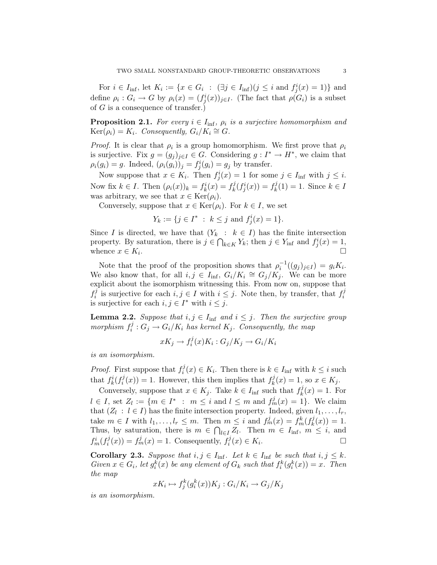For  $i \in I_{\text{inf}}$ , let  $K_i := \{x \in G_i : (\exists j \in I_{\text{inf}})(j \leq i \text{ and } f_j^i(x) = 1)\}\$ and define  $\rho_i$ :  $G_i \to G$  by  $\rho_i(x) = (f_j^i(x))_{j \in I}$ . (The fact that  $\rho(G_i)$  is a subset of  $G$  is a consequence of transfer.)

**Proposition 2.1.** For every  $i \in I_{\text{inf}}$ ,  $\rho_i$  is a surjective homomorphism and  $Ker(\rho_i) = K_i$ . Consequently,  $G_i/K_i \cong G$ .

*Proof.* It is clear that  $\rho_i$  is a group homomorphism. We first prove that  $\rho_i$ is surjective. Fix  $g = (g_j)_{j \in I} \in G$ . Considering  $g : I^* \to H^*$ , we claim that  $\rho_i(g_i) = g$ . Indeed,  $(\rho_i(g_i))_j = f_j^i(g_i) = g_j$  by transfer.

Now suppose that  $x \in K_i$ . Then  $f_j^i(x) = 1$  for some  $j \in I_{\text{inf}}$  with  $j \leq i$ . Now fix  $k \in I$ . Then  $(\rho_i(x))_k = f_k^i(x) = f_k^j$  $f_k^j(f_j^i(x)) = f_k^j$  $k^j(k) = 1$ . Since  $k \in I$ was arbitrary, we see that  $x \in \text{Ker}(\rho_i)$ .

Conversely, suppose that  $x \in \text{Ker}(\rho_i)$ . For  $k \in I$ , we set

$$
Y_k := \{ j \in I^* \ : \ k \leq j \text{ and } f_j^i(x) = 1 \}.
$$

Since I is directed, we have that  $(Y_k : k \in I)$  has the finite intersection property. By saturation, there is  $j \in \bigcap_{k \in K} Y_k$ ; then  $j \in Y_{\text{inf}}$  and  $f_j^i(x) = 1$ , whence  $x \in K_i$ . .

Note that the proof of the proposition shows that  $\rho_i^{-1}((g_j)_{j\in I}) = g_i K_i$ . We also know that, for all  $i, j \in I_{\text{inf}}, G_i/K_i \cong G_j/K_j$ . We can be more explicit about the isomorphism witnessing this. From now on, suppose that  $f_i^j$  $i$  is surjective for each  $i, j \in I$  with  $i \leq j$ . Note then, by transfer, that  $f_i^j$ i is surjective for each  $i, j \in I^*$  with  $i \leq j$ .

**Lemma 2.2.** Suppose that  $i, j \in I_{\text{inf}}$  and  $i \leq j$ . Then the surjective group morphism  $f_i^j$  $i_j^j: G_j \to G_i/K_i$  has kernel  $K_j$ . Consequently, the map

$$
xK_j \to f_i^j(x)K_i : G_j/K_j \to G_i/K_i
$$

is an isomorphism.

*Proof.* First suppose that  $f_i^j$  $i^j(x) \in K_i$ . Then there is  $k \in I_{\text{inf}}$  with  $k \leq i$  such that  $f_k^i(f_i^j)$  $\mathcal{L}^{ij}(x)$  = 1. However, this then implies that  $f^j_k$  $k(x) = 1$ , so  $x \in K_j$ .

Conversely, suppose that  $x \in K_j$ . Take  $k \in I_{\text{inf}}$  such that  $f_k^j$  $k^j(x) = 1$ . For  $l \in I$ , set  $Z_l := \{m \in I^* : m \leq i \text{ and } l \leq m \text{ and } f_m^j(x) = 1\}$ . We claim that  $(Z_l : l \in I)$  has the finite intersection property. Indeed, given  $l_1, \ldots, l_r$ , take  $m \in I$  with  $l_1, \ldots, l_r \leq m$ . Then  $m \leq i$  and  $f_m^j(x) = f_m^k(f_k^j)$  $h_k^{\jmath}(x)) = 1.$ Thus, by saturation, there is  $m \in \bigcap_{l \in I} Z_l$ . Then  $m \in I_{\text{inf}}$ ,  $m \leq i$ , and  $f_m^i(f_i^j)$  $f_i^j(x) = f_m^j(x) = 1$ . Consequently,  $f_i^j$  $G_i^j(x) \in K_i$ . — Первый процесс в постановки программа в серверном становки производительно становки производите с производ<br>В серверном становки производительно становки производительно становки производительно становки производительн

**Corollary 2.3.** Suppose that  $i, j \in I_{\text{inf}}$ . Let  $k \in I_{\text{inf}}$  be such that  $i, j \leq k$ . Given  $x \in G_i$ , let  $g_i^k(x)$  be any element of  $G_k$  such that  $f_i^k(g_i^k(x)) = x$ . Then the map

$$
xK_i \mapsto f_j^k(g_i^k(x))K_j : G_i/K_i \to G_j/K_j
$$

is an isomorphism.